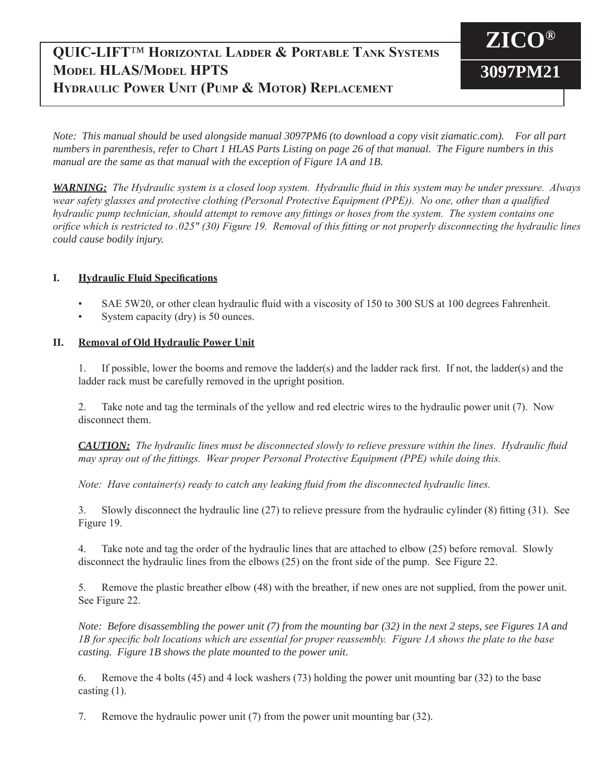# **QUIC-LIFT**™ **Horizontal Ladder & Portable Tank Systems Model HLAS/Model HPTS Hydraulic Power Unit (Pump & Motor) Replacement**

**ZICO® 3097PM21**

*Note: This manual should be used alongside manual 3097PM6 (to download a copy visit ziamatic.com). For all part numbers in parenthesis, refer to Chart 1 HLAS Parts Listing on page 26 of that manual. The Figure numbers in this manual are the same as that manual with the exception of Figure 1A and 1B.*

*WARNING: The Hydraulic system is a closed loop system. Hydraulic fluid in this system may be under pressure. Always wear safety glasses and protective clothing (Personal Protective Equipment (PPE)). No one, other than a qualified hydraulic pump technician, should attempt to remove any fittings or hoses from the system. The system contains one orifice which is restricted to .025" (30) Figure 19. Removal of this fitting or not properly disconnecting the hydraulic lines could cause bodily injury.*

## **I. Hydraulic Fluid Specifications**

- SAE 5W20, or other clean hydraulic fluid with a viscosity of 150 to 300 SUS at 100 degrees Fahrenheit.
- System capacity (dry) is 50 ounces.

## **II. Removal of Old Hydraulic Power Unit**

 1. If possible, lower the booms and remove the ladder(s) and the ladder rack first. If not, the ladder(s) and the ladder rack must be carefully removed in the upright position.

 2. Take note and tag the terminals of the yellow and red electric wires to the hydraulic power unit (7). Now disconnect them.

*CAUTION: The hydraulic lines must be disconnected slowly to relieve pressure within the lines. Hydraulic fluid may spray out of the fittings. Wear proper Personal Protective Equipment (PPE) while doing this.*

*Note: Have container(s) ready to catch any leaking fluid from the disconnected hydraulic lines.*

 3. Slowly disconnect the hydraulic line (27) to relieve pressure from the hydraulic cylinder (8) fitting (31). See Figure 19.

 4. Take note and tag the order of the hydraulic lines that are attached to elbow (25) before removal. Slowly disconnect the hydraulic lines from the elbows (25) on the front side of the pump. See Figure 22.

 5. Remove the plastic breather elbow (48) with the breather, if new ones are not supplied, from the power unit. See Figure 22.

*Note: Before disassembling the power unit (7) from the mounting bar (32) in the next 2 steps, see Figures 1A and 1B for specific bolt locations which are essential for proper reassembly. Figure 1A shows the plate to the base casting. Figure 1B shows the plate mounted to the power unit.*

 6. Remove the 4 bolts (45) and 4 lock washers (73) holding the power unit mounting bar (32) to the base casting (1).

 7. Remove the hydraulic power unit (7) from the power unit mounting bar (32).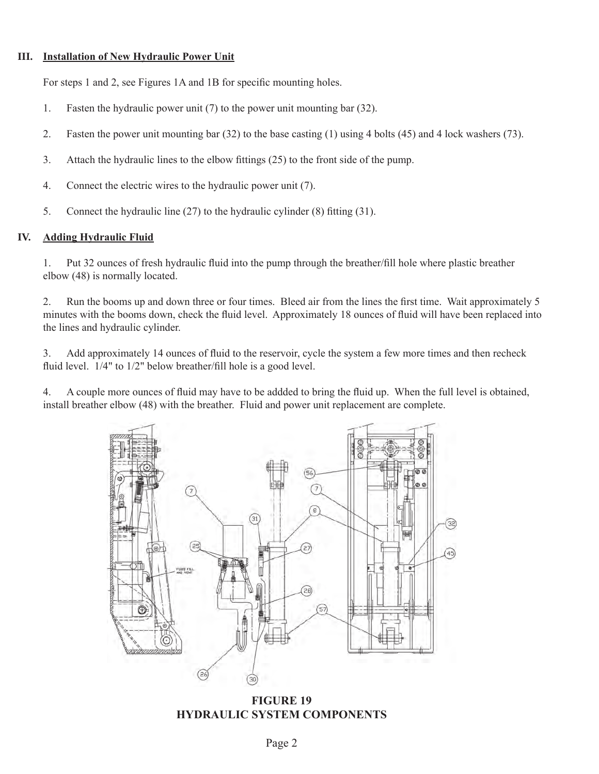### **III. Installation of New Hydraulic Power Unit**

 For steps 1 and 2, see Figures 1A and 1B for specific mounting holes.

- 1. Fasten the hydraulic power unit  $(7)$  to the power unit mounting bar  $(32)$ .
- 2. Fasten the power unit mounting bar (32) to the base casting (1) using 4 bolts (45) and 4 lock washers (73).
- 3. Attach the hydraulic lines to the elbow fittings (25) to the front side of the pump.
- 4. Connect the electric wires to the hydraulic power unit (7).
- 5. Connect the hydraulic line  $(27)$  to the hydraulic cylinder  $(8)$  fitting  $(31)$ .

### **IV. Adding Hydraulic Fluid**

1. Put 32 ounces of fresh hydraulic fluid into the pump through the breather/fill hole where plastic breather elbow (48) is normally located.

2. Run the booms up and down three or four times. Bleed air from the lines the first time. Wait approximately 5 minutes with the booms down, check the fluid level. Approximately 18 ounces of fluid will have been replaced into the lines and hydraulic cylinder.

 3. Add approximately 14 ounces of fluid to the reservoir, cycle the system a few more times and then recheck fluid level.  $1/4$ " to  $1/2$ " below breather/fill hole is a good level.

 4. A couple more ounces of fluid may have to be addded to bring the fluid up. When the full level is obtained, install breather elbow (48) with the breather. Fluid and power unit replacement are complete.



**FIGURE 19 HYDRAULIC SYSTEM COMPONENTS**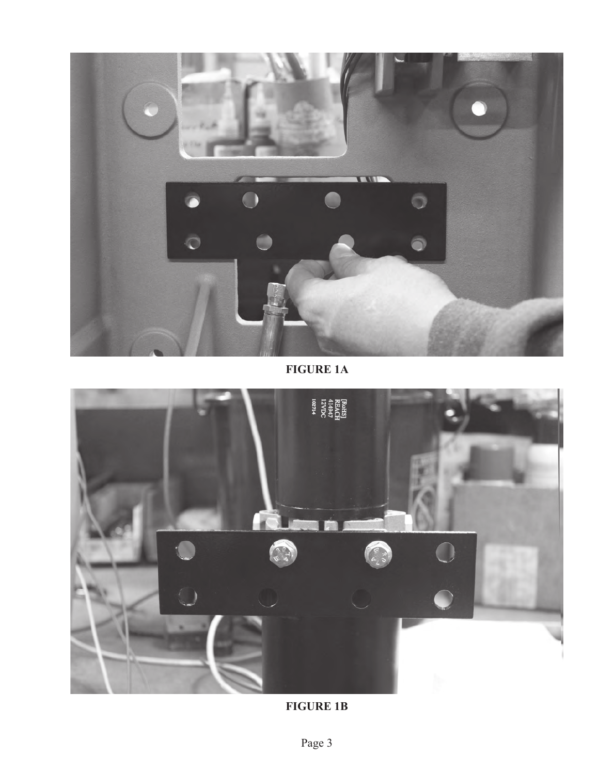

**FIGURE 1A**



**FIGURE 1B**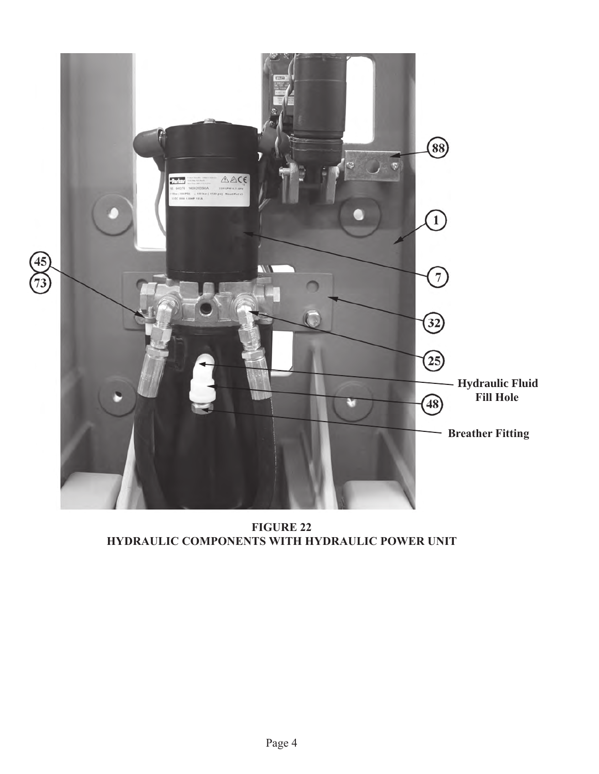

**FIGURE 22 HYDRAULIC COMPONENTS WITH HYDRAULIC POWER UNIT**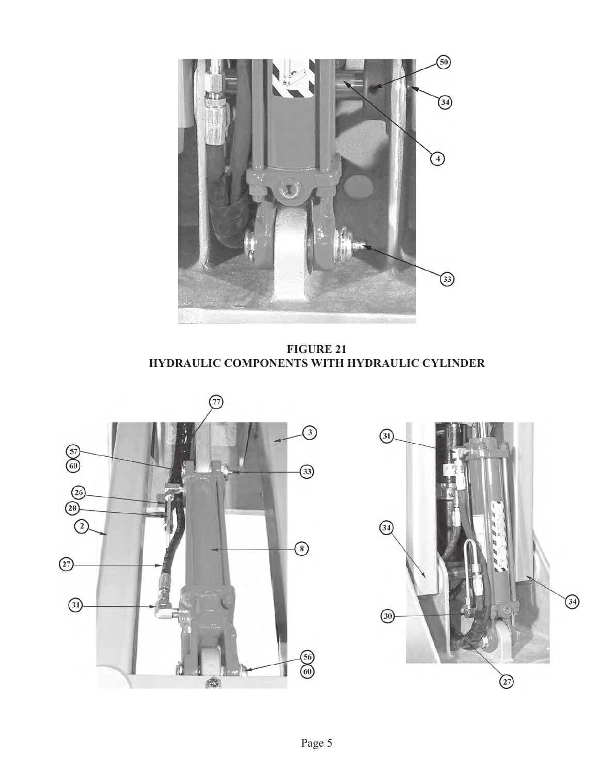

**FIGURE 21 HYDRAULIC COMPONENTS WITH HYDRAULIC CYLINDER**